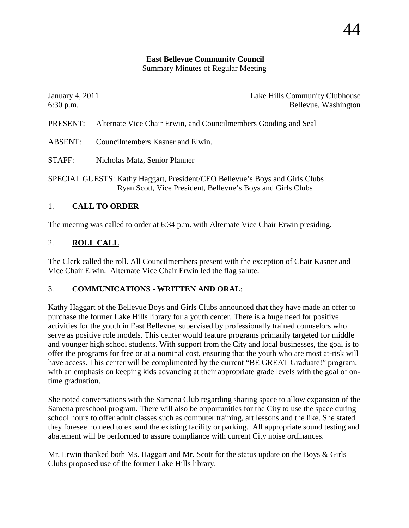# **East Bellevue Community Council**

Summary Minutes of Regular Meeting

| January 4, 2011                                                                                                                             |                                                                 | Lake Hills Community Clubhouse |
|---------------------------------------------------------------------------------------------------------------------------------------------|-----------------------------------------------------------------|--------------------------------|
| $6:30$ p.m.                                                                                                                                 |                                                                 | Bellevue, Washington           |
| PRESENT:                                                                                                                                    | Alternate Vice Chair Erwin, and Councilmembers Gooding and Seal |                                |
| <b>ABSENT:</b>                                                                                                                              | Councilmembers Kasner and Elwin.                                |                                |
| STAFF:                                                                                                                                      | Nicholas Matz, Senior Planner                                   |                                |
| SPECIAL GUESTS: Kathy Haggart, President/CEO Bellevue's Boys and Girls Clubs<br>Ryan Scott, Vice President, Bellevue's Boys and Girls Clubs |                                                                 |                                |

## 1. **CALL TO ORDER**

The meeting was called to order at 6:34 p.m. with Alternate Vice Chair Erwin presiding.

## 2. **ROLL CALL**

The Clerk called the roll. All Councilmembers present with the exception of Chair Kasner and Vice Chair Elwin. Alternate Vice Chair Erwin led the flag salute.

## 3. **COMMUNICATIONS - WRITTEN AND ORAL**:

Kathy Haggart of the Bellevue Boys and Girls Clubs announced that they have made an offer to purchase the former Lake Hills library for a youth center. There is a huge need for positive activities for the youth in East Bellevue, supervised by professionally trained counselors who serve as positive role models. This center would feature programs primarily targeted for middle and younger high school students. With support from the City and local businesses, the goal is to offer the programs for free or at a nominal cost, ensuring that the youth who are most at-risk will have access. This center will be complimented by the current "BE GREAT Graduate!" program, with an emphasis on keeping kids advancing at their appropriate grade levels with the goal of ontime graduation.

She noted conversations with the Samena Club regarding sharing space to allow expansion of the Samena preschool program. There will also be opportunities for the City to use the space during school hours to offer adult classes such as computer training, art lessons and the like. She stated they foresee no need to expand the existing facility or parking. All appropriate sound testing and abatement will be performed to assure compliance with current City noise ordinances.

Mr. Erwin thanked both Ms. Haggart and Mr. Scott for the status update on the Boys & Girls Clubs proposed use of the former Lake Hills library.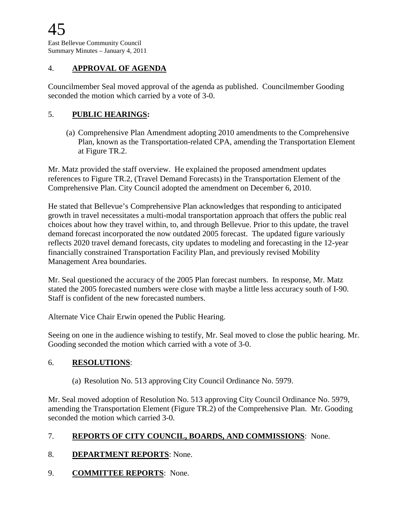## 4. **APPROVAL OF AGENDA**

Councilmember Seal moved approval of the agenda as published. Councilmember Gooding seconded the motion which carried by a vote of 3-0.

### 5. **PUBLIC HEARINGS:**

(a) Comprehensive Plan Amendment adopting 2010 amendments to the Comprehensive Plan, known as the Transportation-related CPA, amending the Transportation Element at Figure TR.2.

Mr. Matz provided the staff overview. He explained the proposed amendment updates references to Figure TR.2, (Travel Demand Forecasts) in the Transportation Element of the Comprehensive Plan. City Council adopted the amendment on December 6, 2010.

He stated that Bellevue's Comprehensive Plan acknowledges that responding to anticipated growth in travel necessitates a multi-modal transportation approach that offers the public real choices about how they travel within, to, and through Bellevue. Prior to this update, the travel demand forecast incorporated the now outdated 2005 forecast. The updated figure variously reflects 2020 travel demand forecasts, city updates to modeling and forecasting in the 12-year financially constrained Transportation Facility Plan, and previously revised Mobility Management Area boundaries.

Mr. Seal questioned the accuracy of the 2005 Plan forecast numbers. In response, Mr. Matz stated the 2005 forecasted numbers were close with maybe a little less accuracy south of I-90. Staff is confident of the new forecasted numbers.

Alternate Vice Chair Erwin opened the Public Hearing.

Seeing on one in the audience wishing to testify, Mr. Seal moved to close the public hearing. Mr. Gooding seconded the motion which carried with a vote of 3-0.

#### 6. **RESOLUTIONS**:

(a) Resolution No. 513 approving City Council Ordinance No. 5979.

Mr. Seal moved adoption of Resolution No. 513 approving City Council Ordinance No. 5979, amending the Transportation Element (Figure TR.2) of the Comprehensive Plan. Mr. Gooding seconded the motion which carried 3-0.

## 7. **REPORTS OF CITY COUNCIL, BOARDS, AND COMMISSIONS**: None.

- 8. **DEPARTMENT REPORTS**: None.
- 9. **COMMITTEE REPORTS**: None.